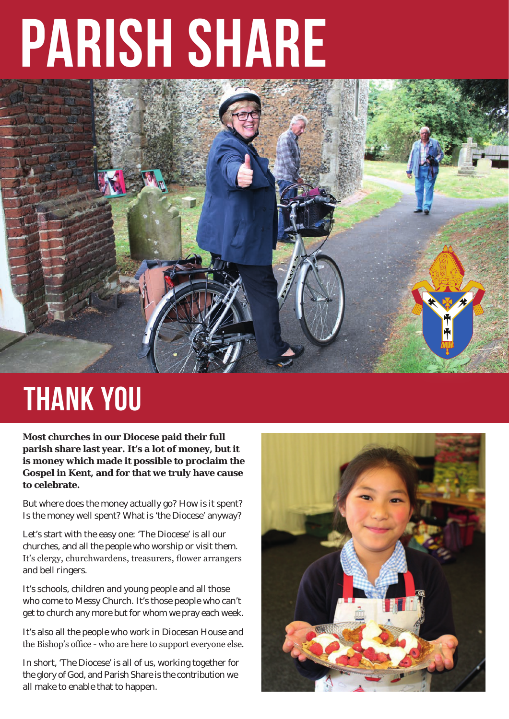## **PARISH SHARE**



## **THANK YOU**

**Most churches in our Diocese paid their full parish share last year. It's a lot of money, but it is money which made it possible to proclaim the Gospel in Kent, and for that we truly have cause to celebrate.** 

But where does the money actually go? How is it spent? Is the money well spent? What is 'the Diocese' anyway?

Let's start with the easy one: 'The Diocese' is all our churches, and all the people who worship or visit them. It's clergy, churchwardens, treasurers, flower arrangers and bell ringers.

It's schools, children and young people and all those who come to Messy Church. It's those people who can't get to church any more but for whom we pray each week.

It's also all the people who work in Diocesan House and the Bishop's office - who are here to support everyone else.

In short, 'The Diocese' is all of us, working together for the glory of God, and Parish Share is the contribution we all make to enable that to happen.